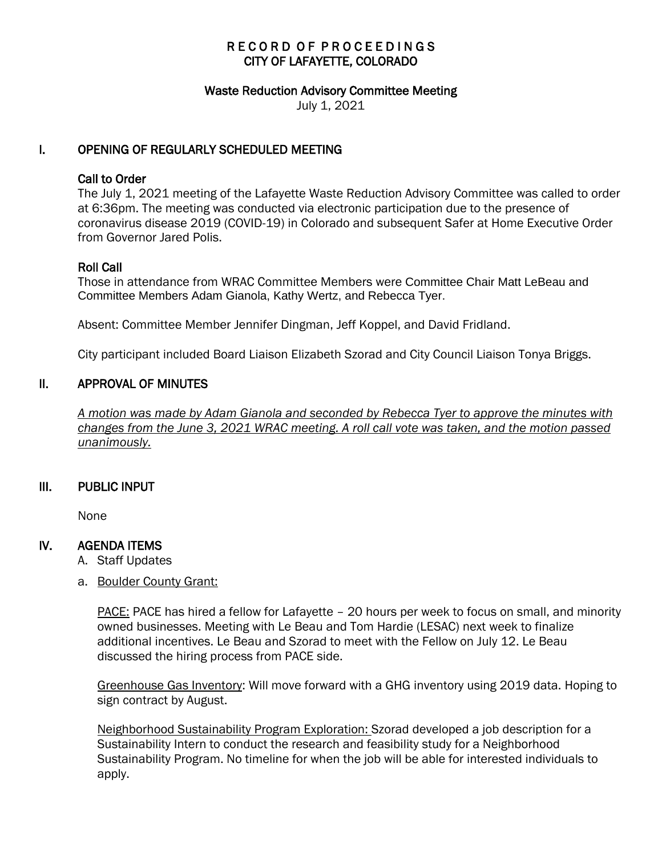# RECORD OF PROCEEDINGS CITY OF LAFAYETTE, COLORADO

#### Waste Reduction Advisory Committee Meeting

July 1, 2021

### I. OPENING OF REGULARLY SCHEDULED MEETING

### Call to Order

The July 1, 2021 meeting of the Lafayette Waste Reduction Advisory Committee was called to order at 6:36pm. The meeting was conducted via electronic participation due to the presence of coronavirus disease 2019 (COVID-19) in Colorado and subsequent Safer at Home Executive Order from Governor Jared Polis.

### Roll Call

Those in attendance from WRAC Committee Members were Committee Chair Matt LeBeau and Committee Members Adam Gianola, Kathy Wertz, and Rebecca Tyer.

Absent: Committee Member Jennifer Dingman, Jeff Koppel, and David Fridland.

City participant included Board Liaison Elizabeth Szorad and City Council Liaison Tonya Briggs.

### II. APPROVAL OF MINUTES

 *A motion was made by Adam Gianola and seconded by Rebecca Tyer to approve the minutes with changes from the June 3, 2021 WRAC meeting. A roll call vote was taken, and the motion passed unanimously.* 

### III. PUBLIC INPUT

None

### IV. AGENDA ITEMS

- A. Staff Updates
- a. Boulder County Grant:

PACE: PACE has hired a fellow for Lafayette - 20 hours per week to focus on small, and minority owned businesses. Meeting with Le Beau and Tom Hardie (LESAC) next week to finalize additional incentives. Le Beau and Szorad to meet with the Fellow on July 12. Le Beau discussed the hiring process from PACE side.

Greenhouse Gas Inventory: Will move forward with a GHG inventory using 2019 data. Hoping to sign contract by August.

Neighborhood Sustainability Program Exploration: Szorad developed a job description for a Sustainability Intern to conduct the research and feasibility study for a Neighborhood Sustainability Program. No timeline for when the job will be able for interested individuals to apply.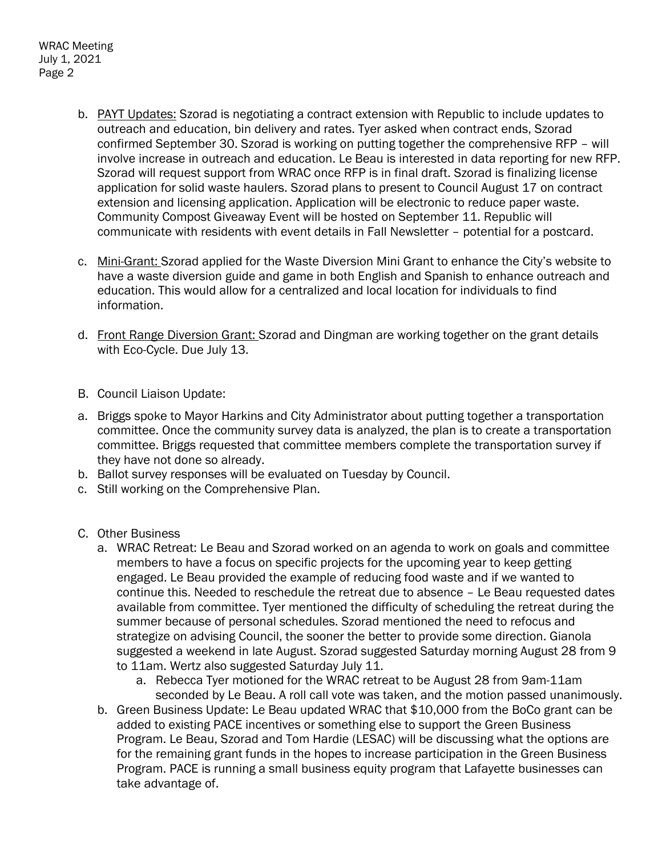- b. PAYT Updates: Szorad is negotiating a contract extension with Republic to include updates to outreach and education, bin delivery and rates. Tyer asked when contract ends, Szorad confirmed September 30. Szorad is working on putting together the comprehensive RFP – will involve increase in outreach and education. Le Beau is interested in data reporting for new RFP. Szorad will request support from WRAC once RFP is in final draft. Szorad is finalizing license application for solid waste haulers. Szorad plans to present to Council August 17 on contract extension and licensing application. Application will be electronic to reduce paper waste. Community Compost Giveaway Event will be hosted on September 11. Republic will communicate with residents with event details in Fall Newsletter – potential for a postcard.
- c. Mini-Grant: Szorad applied for the Waste Diversion Mini Grant to enhance the City's website to have a waste diversion guide and game in both English and Spanish to enhance outreach and education. This would allow for a centralized and local location for individuals to find information.
- d. Front Range Diversion Grant: Szorad and Dingman are working together on the grant details with Eco-Cycle. Due July 13.
- B. Council Liaison Update:
- a. Briggs spoke to Mayor Harkins and City Administrator about putting together a transportation committee. Once the community survey data is analyzed, the plan is to create a transportation committee. Briggs requested that committee members complete the transportation survey if they have not done so already.
- b. Ballot survey responses will be evaluated on Tuesday by Council.
- c. Still working on the Comprehensive Plan.
- C. Other Business
	- a. WRAC Retreat: Le Beau and Szorad worked on an agenda to work on goals and committee members to have a focus on specific projects for the upcoming year to keep getting engaged. Le Beau provided the example of reducing food waste and if we wanted to continue this. Needed to reschedule the retreat due to absence – Le Beau requested dates available from committee. Tyer mentioned the difficulty of scheduling the retreat during the summer because of personal schedules. Szorad mentioned the need to refocus and strategize on advising Council, the sooner the better to provide some direction. Gianola suggested a weekend in late August. Szorad suggested Saturday morning August 28 from 9 to 11am. Wertz also suggested Saturday July 11.
		- a. Rebecca Tyer motioned for the WRAC retreat to be August 28 from 9am-11am seconded by Le Beau. A roll call vote was taken, and the motion passed unanimously.
	- b. Green Business Update: Le Beau updated WRAC that \$10,000 from the BoCo grant can be added to existing PACE incentives or something else to support the Green Business Program. Le Beau, Szorad and Tom Hardie (LESAC) will be discussing what the options are for the remaining grant funds in the hopes to increase participation in the Green Business Program. PACE is running a small business equity program that Lafayette businesses can take advantage of.